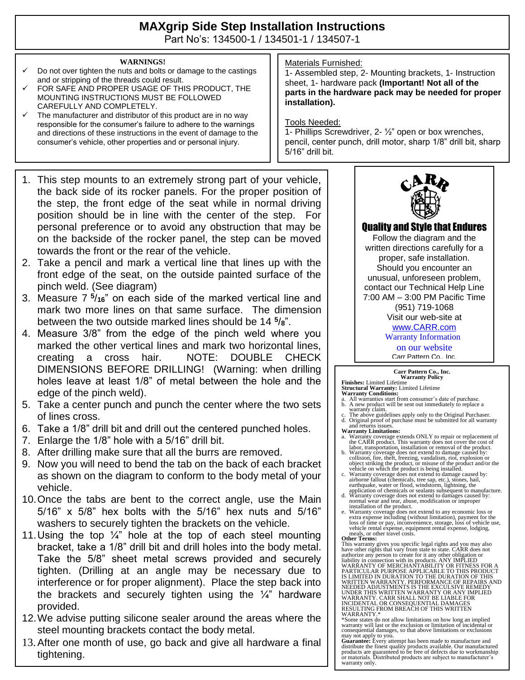# **MAXgrip Side Step Installation Instructions**

Part No's: 134500-1 / 134501-1 / 134507-1

#### **WARNINGS!**

- Do not over tighten the nuts and bolts or damage to the castings and or stripping of the threads could result.
- FOR SAFE AND PROPER USAGE OF THIS PRODUCT, THE MOUNTING INSTRUCTIONS MUST BE FOLLOWED CAREFULLY AND COMPLETELY.
- $\checkmark$  The manufacturer and distributor of this product are in no way responsible for the consumer's failure to adhere to the warnings and directions of these instructions in the event of damage to the consumer's vehicle, other properties and or personal injury.
- 1. This step mounts to an extremely strong part of your vehicle, the back side of its rocker panels. For the proper position of the step, the front edge of the seat while in normal driving position should be in line with the center of the step. For personal preference or to avoid any obstruction that may be on the backside of the rocker panel, the step can be moved towards the front or the rear of the vehicle.
- 2. Take a pencil and mark a vertical line that lines up with the front edge of the seat, on the outside painted surface of the pinch weld. (See diagram)
- 3. Measure 7 **5** /**16**" on each side of the marked vertical line and mark two more lines on that same surface. The dimension between the two outside marked lines should be 14 **5** /**8**".
- 4. Measure 3/8" from the edge of the pinch weld where you marked the other vertical lines and mark two horizontal lines, creating a cross hair. NOTE: DOUBLE CHECK DIMENSIONS BEFORE DRILLING! (Warning: when drilling holes leave at least 1/8" of metal between the hole and the edge of the pinch weld).
- 5. Take a center punch and punch the center where the two sets of lines cross.
- 6. Take a 1/8" drill bit and drill out the centered punched holes.
- 7. Enlarge the 1/8" hole with a 5/16" drill bit.
- 8. After drilling make sure that all the burrs are removed.
- 9. Now you will need to bend the tab on the back of each bracket as shown on the diagram to conform to the body metal of your vehicle.
- 10.Once the tabs are bent to the correct angle, use the Main 5/16" x 5/8" hex bolts with the 5/16" hex nuts and 5/16" washers to securely tighten the brackets on the vehicle.
- 11. Using the top  $\frac{1}{4}$ " hole at the top of each steel mounting bracket, take a 1/8" drill bit and drill holes into the body metal. Take the 5/8" sheet metal screws provided and securely tighten. (Drilling at an angle may be necessary due to interference or for proper alignment). Place the step back into the brackets and securely tighten using the  $\frac{1}{4}$ " hardware provided.
- 12.We advise putting silicone sealer around the areas where the steel mounting brackets contact the body metal.
- 13.After one month of use, go back and give all hardware a final tightening.

## Materials Furnished:

1- Assembled step, 2- Mounting brackets, 1- Instruction sheet, 1- hardware pack **(Important! Not all of the parts in the hardware pack may be needed for proper installation).**

### Tools Needed:

1- Phillips Screwdriver, 2- ½" open or box wrenches, pencil, center punch, drill motor, sharp 1/8" drill bit, sharp 5/16" drill bit.



Quality and Style that Endures

Follow the diagram and the written directions carefully for a proper, safe installation. Should you encounter an unusual, unforeseen problem, contact our Technical Help Line 7:00 AM – 3:00 PM Pacific Time (951) 719-1068 Visit our web-site at [www.CARR.com](http://www.carr.com/)

Warranty Information

on our website

Carr Pattern Co., Inc.

# **Carr Pattern Co., Inc. Warranty Policy**

- **Finishes:** Limited Lifetime<br>**Structural Warranty:** Limited Lifetime<br>**Warranty Conditions:**<br>a. All warranties start from consumer's date of purchase.<br>b. A new product will be sent out immediately to replace a<br>warranty clai
- d. Original proof of purchase must be submitted for all warranty and returns issues.
- **Warranty Limitations:**
- a. Warranty coverage extends ONLY to repair or replacement of the CARR product. This warranty does not cover the cost of
- labor, transportation, installation or removal of the product. b. Warranty coverage does not extend to damage caused by: collision, fire, theft, freezing, vandalism, riot, explosion or object striking the product, or misuse of the product and/or the vehicle on which the product is being installed. c. Warranty coverage does not extend to damage caused by:
- airborne fallout (chemicals, tree sap, etc.), stones, hail, earthquake, water or flood, windstorm, lightning, the
- application of chemicals or sealants subsequent to manufacture. d. Warranty coverage does not extend to damages caused by: normal wear and tear, abuse, modification or improper
- installation of the product.<br>
Warranty coverage does not extend to any economic loss or<br>
warranty coverage does not extend to any economic loss or<br>
extra expense including (without limitation), payment for the<br>
loss of tim

**Other Terms:**<br>This warranty gives you specific legal rights and you may also have other rights that vary from state to state. CARR does not<br>authorize any person to create for it any other obligation or<br>liability in connection with its products. ANY IMPLIED<br>WARRANTY OF MERCHANTABILITY OR FITNESS FOR WRITTEN WARRANTY. PERFORMANCE OF REPAIRS AND<br>NEEDED ADJUSTMENTS IS THE EXCULSIVE REMEDY<br>UNDER THIS WRITTEN WARRANTY OR ANY IMPLIED WARRANTY. CARR SHALL NOT BE LIABLE FOR INCIDENTAL OR CONSEQUENTIAL DAMAGES RESULTING FROM BREACH OF THIS WRITTEN WARRANTY.\* \*Some states do not allow limitations on how long an implied

warranty will last or the exclusion or limitation of incidental or consequential damages, so that above limitations or exclusions

may not apply to you.<br>**Guarantee:** Every attempt has been made to manufacture and<br>distribute the finest quality products available. Our manufactured<br>products are guaranteed to be free of defects due to workmanship<br>or mater warranty only.